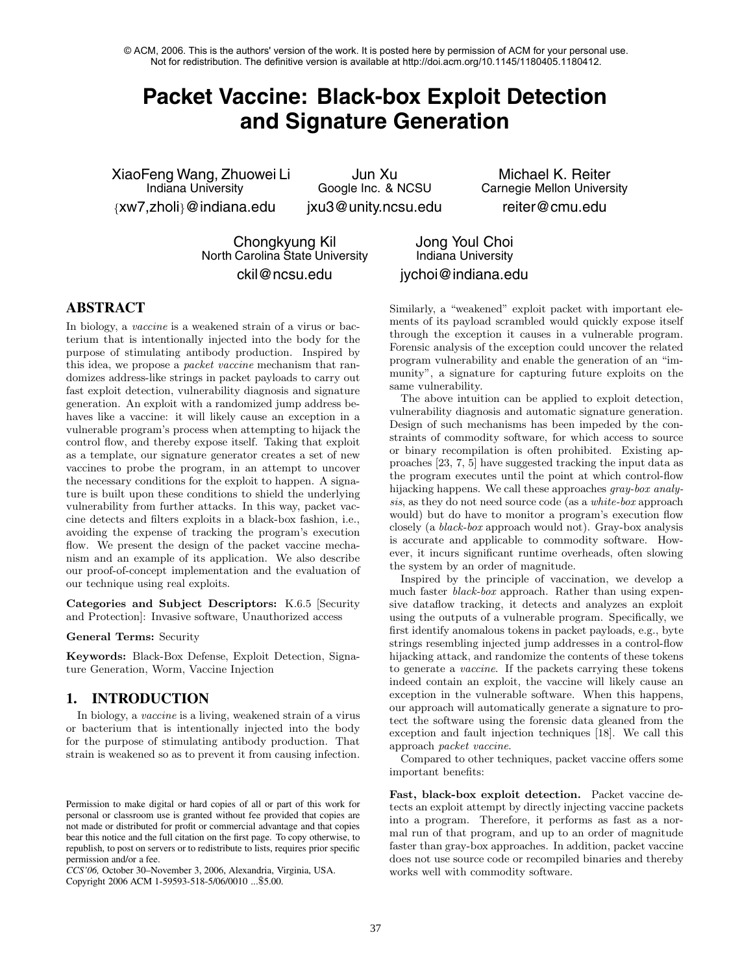# **Packet Vaccine: Black-box Exploit Detection and Signature Generation**

XiaoFeng Wang, Zhuowei Li Indiana University {xw7,zholi}@indiana.edu

Jun Xu Google Inc. & NCSU jxu3@unity.ncsu.edu

Michael K. Reiter Carnegie Mellon University reiter@cmu.edu

Chongkyung Kil North Carolina State University ckil@ncsu.edu

Jong Youl Choi Indiana University jychoi@indiana.edu

# **ABSTRACT**

In biology, a *vaccine* is a weakened strain of a virus or bacterium that is intentionally injected into the body for the purpose of stimulating antibody production. Inspired by this idea, we propose a *packet vaccine* mechanism that randomizes address-like strings in packet payloads to carry out fast exploit detection, vulnerability diagnosis and signature generation. An exploit with a randomized jump address behaves like a vaccine: it will likely cause an exception in a vulnerable program's process when attempting to hijack the control flow, and thereby expose itself. Taking that exploit as a template, our signature generator creates a set of new vaccines to probe the program, in an attempt to uncover the necessary conditions for the exploit to happen. A signature is built upon these conditions to shield the underlying vulnerability from further attacks. In this way, packet vaccine detects and filters exploits in a black-box fashion, i.e., avoiding the expense of tracking the program's execution flow. We present the design of the packet vaccine mechanism and an example of its application. We also describe our proof-of-concept implementation and the evaluation of our technique using real exploits.

**Categories and Subject Descriptors:** K.6.5 [Security and Protection]: Invasive software, Unauthorized access

**General Terms:** Security

**Keywords:** Black-Box Defense, Exploit Detection, Signature Generation, Worm, Vaccine Injection

# **1. INTRODUCTION**

In biology, a *vaccine* is a living, weakened strain of a virus or bacterium that is intentionally injected into the body for the purpose of stimulating antibody production. That strain is weakened so as to prevent it from causing infection.

*CCS'06,* October 30–November 3, 2006, Alexandria, Virginia, USA. Copyright 2006 ACM 1-59593-518-5/06/0010 ...\$5.00.

Similarly, a "weakened" exploit packet with important elements of its payload scrambled would quickly expose itself through the exception it causes in a vulnerable program. Forensic analysis of the exception could uncover the related program vulnerability and enable the generation of an "immunity", a signature for capturing future exploits on the same vulnerability.

The above intuition can be applied to exploit detection, vulnerability diagnosis and automatic signature generation. Design of such mechanisms has been impeded by the constraints of commodity software, for which access to source or binary recompilation is often prohibited. Existing approaches [23, 7, 5] have suggested tracking the input data as the program executes until the point at which control-flow hijacking happens. We call these approaches *gray-box analysis*, as they do not need source code (as a *white-box* approach would) but do have to monitor a program's execution flow closely (a *black-box* approach would not). Gray-box analysis is accurate and applicable to commodity software. However, it incurs significant runtime overheads, often slowing the system by an order of magnitude.

Inspired by the principle of vaccination, we develop a much faster *black-box* approach. Rather than using expensive dataflow tracking, it detects and analyzes an exploit using the outputs of a vulnerable program. Specifically, we first identify anomalous tokens in packet payloads, e.g., byte strings resembling injected jump addresses in a control-flow hijacking attack, and randomize the contents of these tokens to generate a *vaccine*. If the packets carrying these tokens indeed contain an exploit, the vaccine will likely cause an exception in the vulnerable software. When this happens, our approach will automatically generate a signature to protect the software using the forensic data gleaned from the exception and fault injection techniques [18]. We call this approach *packet vaccine*.

Compared to other techniques, packet vaccine offers some important benefits:

**Fast, black-box exploit detection.** Packet vaccine detects an exploit attempt by directly injecting vaccine packets into a program. Therefore, it performs as fast as a normal run of that program, and up to an order of magnitude faster than gray-box approaches. In addition, packet vaccine does not use source code or recompiled binaries and thereby works well with commodity software.

Permission to make digital or hard copies of all or part of this work for personal or classroom use is granted without fee provided that copies are not made or distributed for profit or commercial advantage and that copies bear this notice and the full citation on the first page. To copy otherwise, to republish, to post on servers or to redistribute to lists, requires prior specific permission and/or a fee.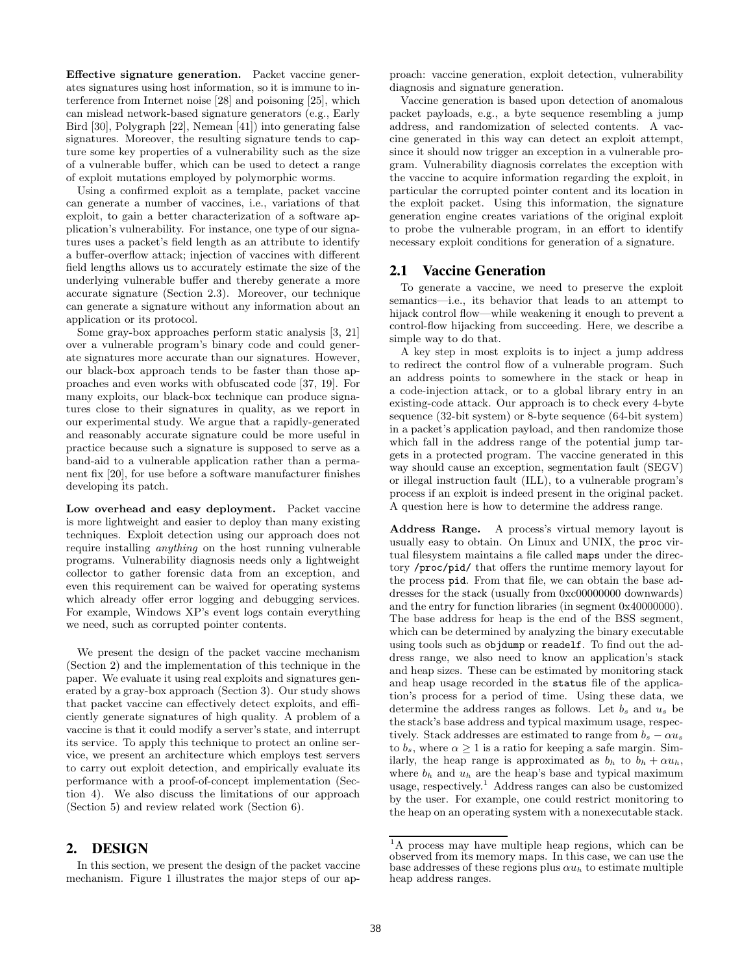**Effective signature generation.** Packet vaccine generates signatures using host information, so it is immune to interference from Internet noise [28] and poisoning [25], which can mislead network-based signature generators (e.g., Early Bird [30], Polygraph [22], Nemean [41]) into generating false signatures. Moreover, the resulting signature tends to capture some key properties of a vulnerability such as the size of a vulnerable buffer, which can be used to detect a range of exploit mutations employed by polymorphic worms.

Using a confirmed exploit as a template, packet vaccine can generate a number of vaccines, i.e., variations of that exploit, to gain a better characterization of a software application's vulnerability. For instance, one type of our signatures uses a packet's field length as an attribute to identify a buffer-overflow attack; injection of vaccines with different field lengths allows us to accurately estimate the size of the underlying vulnerable buffer and thereby generate a more accurate signature (Section 2.3). Moreover, our technique can generate a signature without any information about an application or its protocol.

Some gray-box approaches perform static analysis [3, 21] over a vulnerable program's binary code and could generate signatures more accurate than our signatures. However, our black-box approach tends to be faster than those approaches and even works with obfuscated code [37, 19]. For many exploits, our black-box technique can produce signatures close to their signatures in quality, as we report in our experimental study. We argue that a rapidly-generated and reasonably accurate signature could be more useful in practice because such a signature is supposed to serve as a band-aid to a vulnerable application rather than a permanent fix [20], for use before a software manufacturer finishes developing its patch.

**Low overhead and easy deployment.** Packet vaccine is more lightweight and easier to deploy than many existing techniques. Exploit detection using our approach does not require installing *anything* on the host running vulnerable programs. Vulnerability diagnosis needs only a lightweight collector to gather forensic data from an exception, and even this requirement can be waived for operating systems which already offer error logging and debugging services. For example, Windows XP's event logs contain everything we need, such as corrupted pointer contents.

We present the design of the packet vaccine mechanism (Section 2) and the implementation of this technique in the paper. We evaluate it using real exploits and signatures generated by a gray-box approach (Section 3). Our study shows that packet vaccine can effectively detect exploits, and efficiently generate signatures of high quality. A problem of a vaccine is that it could modify a server's state, and interrupt its service. To apply this technique to protect an online service, we present an architecture which employs test servers to carry out exploit detection, and empirically evaluate its performance with a proof-of-concept implementation (Section 4). We also discuss the limitations of our approach (Section 5) and review related work (Section 6).

### **2. DESIGN**

In this section, we present the design of the packet vaccine mechanism. Figure 1 illustrates the major steps of our approach: vaccine generation, exploit detection, vulnerability diagnosis and signature generation.

Vaccine generation is based upon detection of anomalous packet payloads, e.g., a byte sequence resembling a jump address, and randomization of selected contents. A vaccine generated in this way can detect an exploit attempt, since it should now trigger an exception in a vulnerable program. Vulnerability diagnosis correlates the exception with the vaccine to acquire information regarding the exploit, in particular the corrupted pointer content and its location in the exploit packet. Using this information, the signature generation engine creates variations of the original exploit to probe the vulnerable program, in an effort to identify necessary exploit conditions for generation of a signature.

### **2.1 Vaccine Generation**

To generate a vaccine, we need to preserve the exploit semantics—i.e., its behavior that leads to an attempt to hijack control flow—while weakening it enough to prevent a control-flow hijacking from succeeding. Here, we describe a simple way to do that.

A key step in most exploits is to inject a jump address to redirect the control flow of a vulnerable program. Such an address points to somewhere in the stack or heap in a code-injection attack, or to a global library entry in an existing-code attack. Our approach is to check every 4-byte sequence (32-bit system) or 8-byte sequence (64-bit system) in a packet's application payload, and then randomize those which fall in the address range of the potential jump targets in a protected program. The vaccine generated in this way should cause an exception, segmentation fault (SEGV) or illegal instruction fault (ILL), to a vulnerable program's process if an exploit is indeed present in the original packet. A question here is how to determine the address range.

**Address Range.** A process's virtual memory layout is usually easy to obtain. On Linux and UNIX, the proc virtual filesystem maintains a file called maps under the directory /proc/pid/ that offers the runtime memory layout for the process pid. From that file, we can obtain the base addresses for the stack (usually from 0xc00000000 downwards) and the entry for function libraries (in segment 0x40000000). The base address for heap is the end of the BSS segment, which can be determined by analyzing the binary executable using tools such as objdump or readelf. To find out the address range, we also need to know an application's stack and heap sizes. These can be estimated by monitoring stack and heap usage recorded in the status file of the application's process for a period of time. Using these data, we determine the address ranges as follows. Let b*<sup>s</sup>* and u*<sup>s</sup>* be the stack's base address and typical maximum usage, respectively. Stack addresses are estimated to range from  $b_s - \alpha u_s$ to  $b_s$ , where  $\alpha \geq 1$  is a ratio for keeping a safe margin. Similarly, the heap range is approximated as  $b_h$  to  $b_h + \alpha u_h$ , where  $b_h$  and  $u_h$  are the heap's base and typical maximum usage, respectively.<sup>1</sup> Address ranges can also be customized by the user. For example, one could restrict monitoring to the heap on an operating system with a nonexecutable stack.

<sup>1</sup>A process may have multiple heap regions, which can be observed from its memory maps. In this case, we can use the base addresses of these regions plus  $\alpha u_h$  to estimate multiple heap address ranges.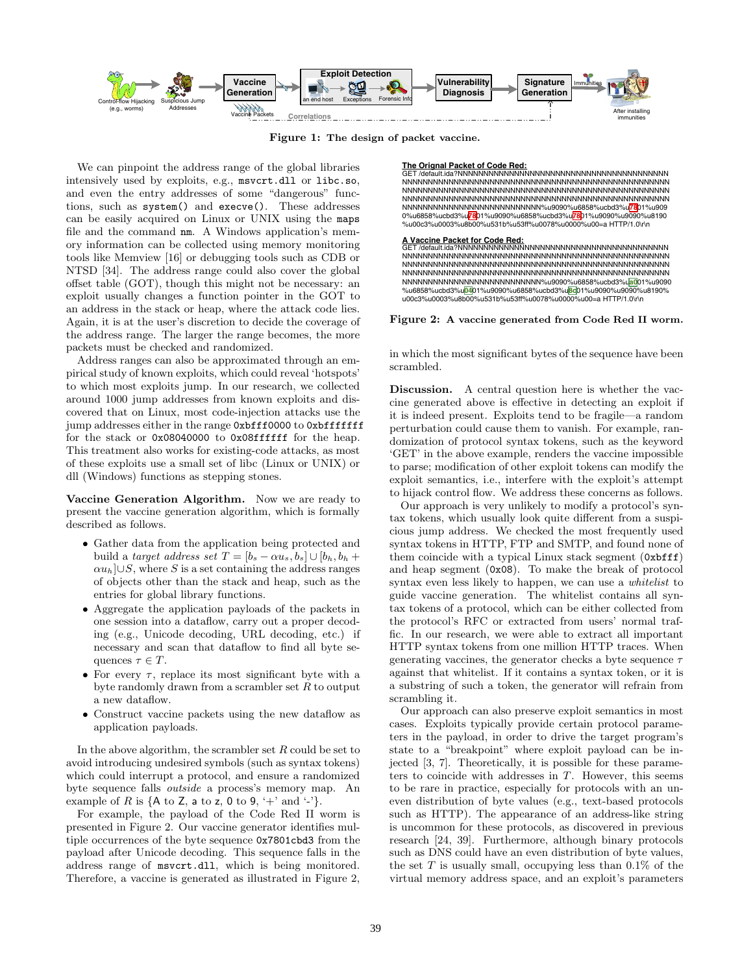

**Figure 1: The design of packet vaccine.**

We can pinpoint the address range of the global libraries intensively used by exploits, e.g., msvcrt.dll or libc.so, and even the entry addresses of some "dangerous" functions, such as system() and execve(). These addresses can be easily acquired on Linux or UNIX using the maps file and the command nm. A Windows application's memory information can be collected using memory monitoring tools like Memview [16] or debugging tools such as CDB or NTSD [34]. The address range could also cover the global offset table (GOT), though this might not be necessary: an exploit usually changes a function pointer in the GOT to an address in the stack or heap, where the attack code lies. Again, it is at the user's discretion to decide the coverage of the address range. The larger the range becomes, the more packets must be checked and randomized.

Address ranges can also be approximated through an empirical study of known exploits, which could reveal 'hotspots' to which most exploits jump. In our research, we collected around 1000 jump addresses from known exploits and discovered that on Linux, most code-injection attacks use the jump addresses either in the range 0xbfff0000 to 0xbffffffff for the stack or 0x08040000 to 0x08ffffff for the heap. This treatment also works for existing-code attacks, as most of these exploits use a small set of libc (Linux or UNIX) or dll (Windows) functions as stepping stones.

**Vaccine Generation Algorithm.** Now we are ready to present the vaccine generation algorithm, which is formally described as follows.

- Gather data from the application being protected and build a *target address set*  $T = [b_s - \alpha u_s, b_s] \cup [b_h, b_h +$  $\alpha u_h$  ∪S, where S is a set containing the address ranges of objects other than the stack and heap, such as the entries for global library functions.
- Aggregate the application payloads of the packets in one session into a dataflow, carry out a proper decoding (e.g., Unicode decoding, URL decoding, etc.) if necessary and scan that dataflow to find all byte sequences  $\tau \in T$ .
- For every  $\tau$ , replace its most significant byte with a byte randomly drawn from a scrambler set  $R$  to output a new dataflow.
- Construct vaccine packets using the new dataflow as application payloads.

In the above algorithm, the scrambler set  $R$  could be set to avoid introducing undesired symbols (such as syntax tokens) which could interrupt a protocol, and ensure a randomized byte sequence falls *outside* a process's memory map. An example of R is  $\{A \text{ to } Z, a \text{ to } z, 0 \text{ to } 9, + \text{ and } -\}$ .

For example, the payload of the Code Red II worm is presented in Figure 2. Our vaccine generator identifies multiple occurrences of the byte sequence 0x7801cbd3 from the payload after Unicode decoding. This sequence falls in the address range of msvcrt.dll, which is being monitored. Therefore, a vaccine is generated as illustrated in Figure 2,

#### **The Orignal Packet of Code Red:**

GET /default.ida?NNNNNNNNNNNNNNNNNNNNNNNNNNNNNNNNNNNNNNNNN NNNNNNNNNNNNNNNNNNNNNNNNNNNNNNNNNNNNNNNNNNNNNNNNNNNN NNNNNNNNNNNNNNNNNNNNNNNNNNNNNNNNNNNNNNNNNNNNNNNNNNNN NNNNNNNNNNNNNNNNNNNNNNNNNNNNNNNNNNNNNNNNNNNNNNNNNNNN NNNNNNNNNNNNNNNNNNNNNNNNNNN%u9090%u6858%ucbd3%u**78**01%u909 0%u6858%ucbd3%u**78**01%u9090%u6858%ucbd3%u**78**01%u9090%u9090%u8190 %u00c3%u0003%u8b00%u531b%u53ff%u0078%u0000%u00=a HTTP/1.0\r\n

#### **A Vaccine Packet for Code Red:**

GET /default.ida?NNNNNNNNNNNNNNNNNNNNNNNNNNNNNNNNNNNNNNNNN NNNNNNNNNNNNNNNNNNNNNNNNNNNNNNNNNNNNNNNNNNNNNNNNNNNN NNNNNNNNNNNNNNNNNNNNNNNNNNNNNNNNNNNNNNNNNNNNNNNNNNNN NNNNNNNNNNNNNNNNNNNNNNNNNNNNNNNNNNNNNNNNNNNNNNNNNNNN NNNNNNNNNNNNNNNNNNNNNNNNNNN%u9090%u6858%ucbd3%u**a0**01%u9090 %u6858%ucbd3%u**04**01%u9090%u6858%ucbd3%u**8c**01%u9090%u9090%u8190% u00c3%u0003%u8b00%u531b%u53ff%u0078%u0000%u00=a HTTP/1.0\r\n

#### **Figure 2: A vaccine generated from Code Red II worm.**

in which the most significant bytes of the sequence have been scrambled.

**Discussion.** A central question here is whether the vaccine generated above is effective in detecting an exploit if it is indeed present. Exploits tend to be fragile—a random perturbation could cause them to vanish. For example, randomization of protocol syntax tokens, such as the keyword 'GET' in the above example, renders the vaccine impossible to parse; modification of other exploit tokens can modify the exploit semantics, i.e., interfere with the exploit's attempt to hijack control flow. We address these concerns as follows.

Our approach is very unlikely to modify a protocol's syntax tokens, which usually look quite different from a suspicious jump address. We checked the most frequently used syntax tokens in HTTP, FTP and SMTP, and found none of them coincide with a typical Linux stack segment (0xbfff) and heap segment (0x08). To make the break of protocol syntax even less likely to happen, we can use a *whitelist* to guide vaccine generation. The whitelist contains all syntax tokens of a protocol, which can be either collected from the protocol's RFC or extracted from users' normal traffic. In our research, we were able to extract all important HTTP syntax tokens from one million HTTP traces. When generating vaccines, the generator checks a byte sequence  $\tau$ against that whitelist. If it contains a syntax token, or it is a substring of such a token, the generator will refrain from scrambling it.

Our approach can also preserve exploit semantics in most cases. Exploits typically provide certain protocol parameters in the payload, in order to drive the target program's state to a "breakpoint" where exploit payload can be injected [3, 7]. Theoretically, it is possible for these parameters to coincide with addresses in  $T$ . However, this seems to be rare in practice, especially for protocols with an uneven distribution of byte values (e.g., text-based protocols such as HTTP). The appearance of an address-like string is uncommon for these protocols, as discovered in previous research [24, 39]. Furthermore, although binary protocols such as DNS could have an even distribution of byte values, the set  $T$  is usually small, occupying less than 0.1% of the virtual memory address space, and an exploit's parameters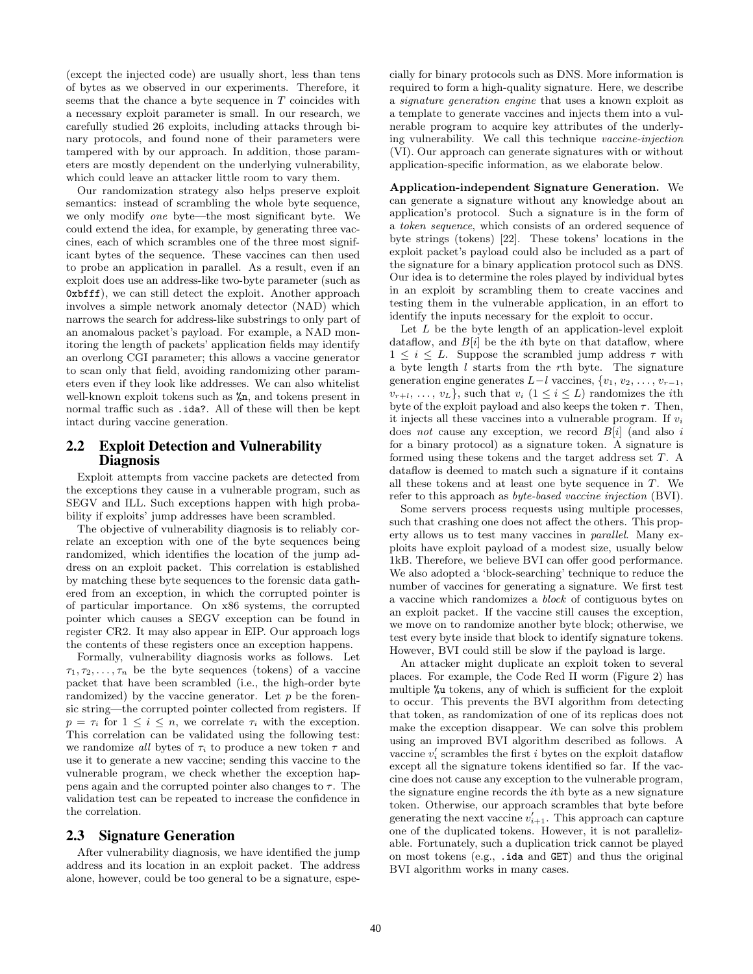(except the injected code) are usually short, less than tens of bytes as we observed in our experiments. Therefore, it seems that the chance a byte sequence in  $T$  coincides with a necessary exploit parameter is small. In our research, we carefully studied 26 exploits, including attacks through binary protocols, and found none of their parameters were tampered with by our approach. In addition, those parameters are mostly dependent on the underlying vulnerability, which could leave an attacker little room to vary them.

Our randomization strategy also helps preserve exploit semantics: instead of scrambling the whole byte sequence, we only modify *one* byte—the most significant byte. We could extend the idea, for example, by generating three vaccines, each of which scrambles one of the three most significant bytes of the sequence. These vaccines can then used to probe an application in parallel. As a result, even if an exploit does use an address-like two-byte parameter (such as 0xbfff), we can still detect the exploit. Another approach involves a simple network anomaly detector (NAD) which narrows the search for address-like substrings to only part of an anomalous packet's payload. For example, a NAD monitoring the length of packets' application fields may identify an overlong CGI parameter; this allows a vaccine generator to scan only that field, avoiding randomizing other parameters even if they look like addresses. We can also whitelist well-known exploit tokens such as  $\chi$ n, and tokens present in normal traffic such as .ida?. All of these will then be kept intact during vaccine generation.

# **2.2 Exploit Detection and Vulnerability Diagnosis**

Exploit attempts from vaccine packets are detected from the exceptions they cause in a vulnerable program, such as SEGV and ILL. Such exceptions happen with high probability if exploits' jump addresses have been scrambled.

The objective of vulnerability diagnosis is to reliably correlate an exception with one of the byte sequences being randomized, which identifies the location of the jump address on an exploit packet. This correlation is established by matching these byte sequences to the forensic data gathered from an exception, in which the corrupted pointer is of particular importance. On x86 systems, the corrupted pointer which causes a SEGV exception can be found in register CR2. It may also appear in EIP. Our approach logs the contents of these registers once an exception happens.

Formally, vulnerability diagnosis works as follows. Let  $\tau_1, \tau_2, \ldots, \tau_n$  be the byte sequences (tokens) of a vaccine packet that have been scrambled (i.e., the high-order byte randomized) by the vaccine generator. Let  $p$  be the forensic string—the corrupted pointer collected from registers. If  $p = \tau_i$  for  $1 \leq i \leq n$ , we correlate  $\tau_i$  with the exception. This correlation can be validated using the following test: we randomize *all* bytes of  $\tau_i$  to produce a new token  $\tau$  and use it to generate a new vaccine; sending this vaccine to the vulnerable program, we check whether the exception happens again and the corrupted pointer also changes to  $\tau$ . The validation test can be repeated to increase the confidence in the correlation.

### **2.3 Signature Generation**

After vulnerability diagnosis, we have identified the jump address and its location in an exploit packet. The address alone, however, could be too general to be a signature, especially for binary protocols such as DNS. More information is required to form a high-quality signature. Here, we describe a *signature generation engine* that uses a known exploit as a template to generate vaccines and injects them into a vulnerable program to acquire key attributes of the underlying vulnerability. We call this technique *vaccine-injection* (VI). Our approach can generate signatures with or without application-specific information, as we elaborate below.

**Application-independent Signature Generation.** We can generate a signature without any knowledge about an application's protocol. Such a signature is in the form of a *token sequence*, which consists of an ordered sequence of byte strings (tokens) [22]. These tokens' locations in the exploit packet's payload could also be included as a part of the signature for a binary application protocol such as DNS. Our idea is to determine the roles played by individual bytes in an exploit by scrambling them to create vaccines and testing them in the vulnerable application, in an effort to identify the inputs necessary for the exploit to occur.

Let  $L$  be the byte length of an application-level exploit dataflow, and  $B[i]$  be the *i*th byte on that dataflow, where  $1 \leq i \leq L$ . Suppose the scrambled jump address  $\tau$  with a byte length  $l$  starts from the *r*th byte. The signature generation engine generates  $L-l$  vaccines,  $\{v_1, v_2, \ldots, v_{r-1},\}$  $v_{r+l}, \ldots, v_L$ , such that  $v_i$  ( $1 \leq i \leq L$ ) randomizes the *i*th byte of the exploit payload and also keeps the token  $\tau$ . Then, it injects all these vaccines into a vulnerable program. If v*<sup>i</sup>* does *not* cause any exception, we record  $B[i]$  (and also i for a binary protocol) as a signature token. A signature is formed using these tokens and the target address set T. A dataflow is deemed to match such a signature if it contains all these tokens and at least one byte sequence in T. We refer to this approach as *byte-based vaccine injection* (BVI).

Some servers process requests using multiple processes, such that crashing one does not affect the others. This property allows us to test many vaccines in *parallel*. Many exploits have exploit payload of a modest size, usually below 1kB. Therefore, we believe BVI can offer good performance. We also adopted a 'block-searching' technique to reduce the number of vaccines for generating a signature. We first test a vaccine which randomizes a *block* of contiguous bytes on an exploit packet. If the vaccine still causes the exception, we move on to randomize another byte block; otherwise, we test every byte inside that block to identify signature tokens. However, BVI could still be slow if the payload is large.

An attacker might duplicate an exploit token to several places. For example, the Code Red II worm (Figure 2) has multiple %u tokens, any of which is sufficient for the exploit to occur. This prevents the BVI algorithm from detecting that token, as randomization of one of its replicas does not make the exception disappear. We can solve this problem using an improved BVI algorithm described as follows. A vaccine  $v_i'$  scrambles the first i bytes on the exploit dataflow except all the signature tokens identified so far. If the vaccine does not cause any exception to the vulnerable program, the signature engine records the ith byte as a new signature token. Otherwise, our approach scrambles that byte before generating the next vaccine  $v'_{i+1}$ . This approach can capture one of the duplicated tokens. However, it is not parallelizable. Fortunately, such a duplication trick cannot be played on most tokens (e.g., .ida and GET) and thus the original BVI algorithm works in many cases.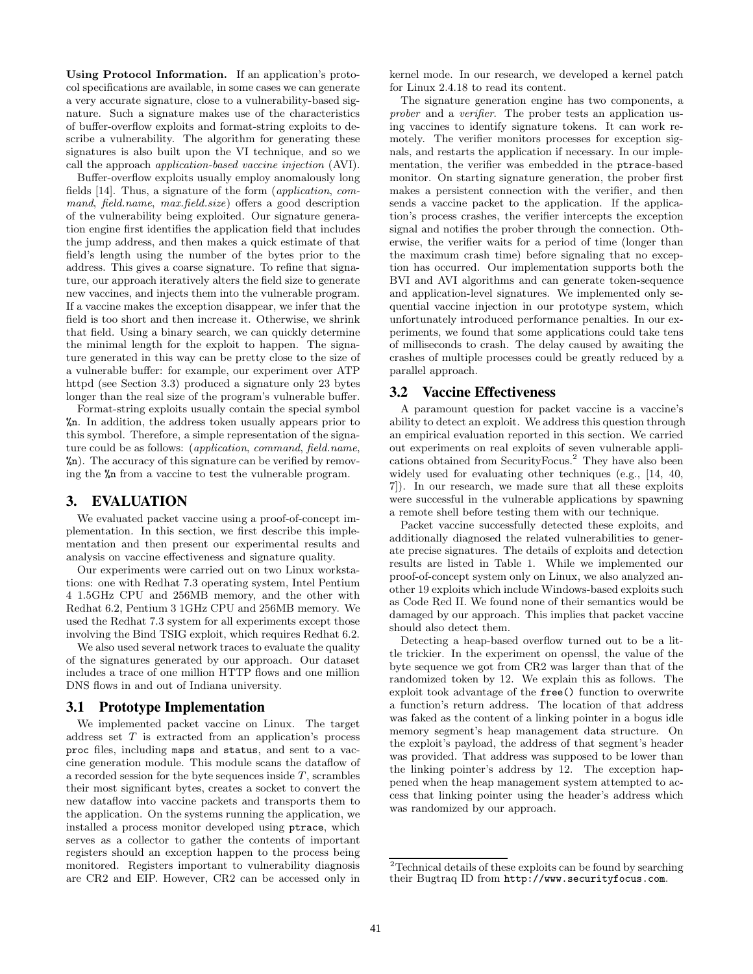**Using Protocol Information.** If an application's protocol specifications are available, in some cases we can generate a very accurate signature, close to a vulnerability-based signature. Such a signature makes use of the characteristics of buffer-overflow exploits and format-string exploits to describe a vulnerability. The algorithm for generating these signatures is also built upon the VI technique, and so we call the approach *application-based vaccine injection* (AVI).

Buffer-overflow exploits usually employ anomalously long fields [14]. Thus, a signature of the form (*application*, *command*, *field.name*, *max.field.size*) offers a good description of the vulnerability being exploited. Our signature generation engine first identifies the application field that includes the jump address, and then makes a quick estimate of that field's length using the number of the bytes prior to the address. This gives a coarse signature. To refine that signature, our approach iteratively alters the field size to generate new vaccines, and injects them into the vulnerable program. If a vaccine makes the exception disappear, we infer that the field is too short and then increase it. Otherwise, we shrink that field. Using a binary search, we can quickly determine the minimal length for the exploit to happen. The signature generated in this way can be pretty close to the size of a vulnerable buffer: for example, our experiment over ATP httpd (see Section 3.3) produced a signature only 23 bytes longer than the real size of the program's vulnerable buffer.

Format-string exploits usually contain the special symbol %n. In addition, the address token usually appears prior to this symbol. Therefore, a simple representation of the signature could be as follows: (*application*, *command*, *field.name*, %n). The accuracy of this signature can be verified by removing the %n from a vaccine to test the vulnerable program.

### **3. EVALUATION**

We evaluated packet vaccine using a proof-of-concept implementation. In this section, we first describe this implementation and then present our experimental results and analysis on vaccine effectiveness and signature quality.

Our experiments were carried out on two Linux workstations: one with Redhat 7.3 operating system, Intel Pentium 4 1.5GHz CPU and 256MB memory, and the other with Redhat 6.2, Pentium 3 1GHz CPU and 256MB memory. We used the Redhat 7.3 system for all experiments except those involving the Bind TSIG exploit, which requires Redhat 6.2.

We also used several network traces to evaluate the quality of the signatures generated by our approach. Our dataset includes a trace of one million HTTP flows and one million DNS flows in and out of Indiana university.

#### **3.1 Prototype Implementation**

We implemented packet vaccine on Linux. The target address set T is extracted from an application's process proc files, including maps and status, and sent to a vaccine generation module. This module scans the dataflow of a recorded session for the byte sequences inside  $T$ , scrambles their most significant bytes, creates a socket to convert the new dataflow into vaccine packets and transports them to the application. On the systems running the application, we installed a process monitor developed using ptrace, which serves as a collector to gather the contents of important registers should an exception happen to the process being monitored. Registers important to vulnerability diagnosis are CR2 and EIP. However, CR2 can be accessed only in kernel mode. In our research, we developed a kernel patch for Linux 2.4.18 to read its content.

The signature generation engine has two components, a *prober* and a *verifier*. The prober tests an application using vaccines to identify signature tokens. It can work remotely. The verifier monitors processes for exception signals, and restarts the application if necessary. In our implementation, the verifier was embedded in the ptrace-based monitor. On starting signature generation, the prober first makes a persistent connection with the verifier, and then sends a vaccine packet to the application. If the application's process crashes, the verifier intercepts the exception signal and notifies the prober through the connection. Otherwise, the verifier waits for a period of time (longer than the maximum crash time) before signaling that no exception has occurred. Our implementation supports both the BVI and AVI algorithms and can generate token-sequence and application-level signatures. We implemented only sequential vaccine injection in our prototype system, which unfortunately introduced performance penalties. In our experiments, we found that some applications could take tens of milliseconds to crash. The delay caused by awaiting the crashes of multiple processes could be greatly reduced by a parallel approach.

#### **3.2 Vaccine Effectiveness**

A paramount question for packet vaccine is a vaccine's ability to detect an exploit. We address this question through an empirical evaluation reported in this section. We carried out experiments on real exploits of seven vulnerable applications obtained from SecurityFocus.<sup>2</sup> They have also been widely used for evaluating other techniques (e.g., [14, 40, 7]). In our research, we made sure that all these exploits were successful in the vulnerable applications by spawning a remote shell before testing them with our technique.

Packet vaccine successfully detected these exploits, and additionally diagnosed the related vulnerabilities to generate precise signatures. The details of exploits and detection results are listed in Table 1. While we implemented our proof-of-concept system only on Linux, we also analyzed another 19 exploits which include Windows-based exploits such as Code Red II. We found none of their semantics would be damaged by our approach. This implies that packet vaccine should also detect them.

Detecting a heap-based overflow turned out to be a little trickier. In the experiment on openssl, the value of the byte sequence we got from CR2 was larger than that of the randomized token by 12. We explain this as follows. The exploit took advantage of the free() function to overwrite a function's return address. The location of that address was faked as the content of a linking pointer in a bogus idle memory segment's heap management data structure. On the exploit's payload, the address of that segment's header was provided. That address was supposed to be lower than the linking pointer's address by 12. The exception happened when the heap management system attempted to access that linking pointer using the header's address which was randomized by our approach.

 $\rm ^2Technical$  details of these exploits can be found by searching their Bugtraq ID from http://www.securityfocus.com.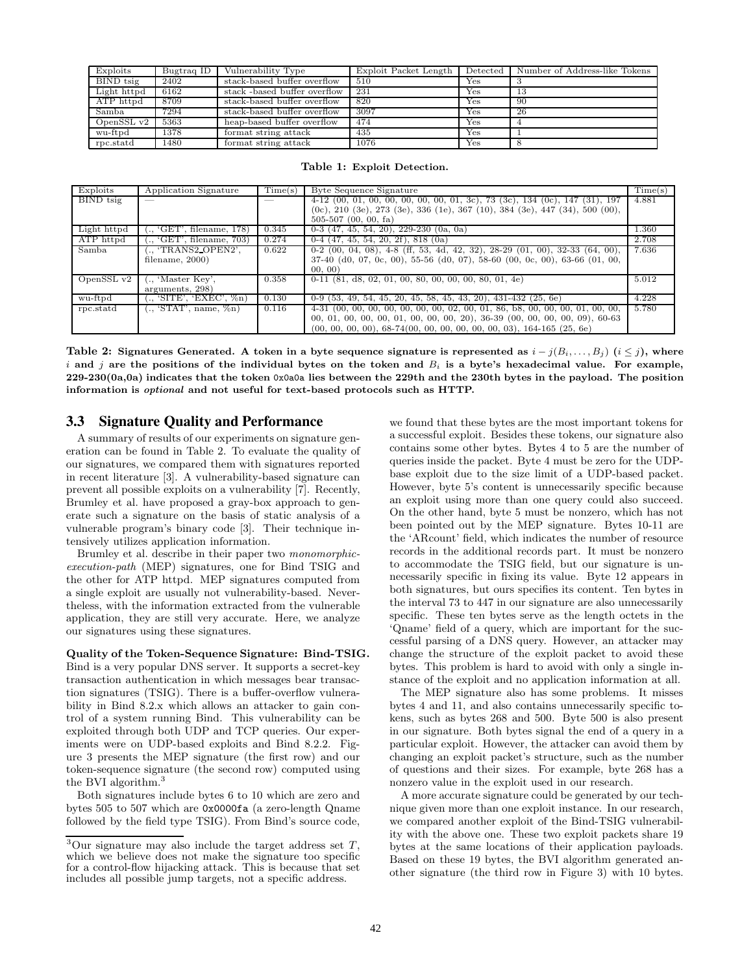| Exploits              | Bugtraq ID | Vulnerability Type           | Exploit Packet Length | Detected ' | Number of Address-like Tokens |
|-----------------------|------------|------------------------------|-----------------------|------------|-------------------------------|
| BIND tsig             | 2402       | stack-based buffer overflow  | 510                   | Yes        |                               |
| Light httpd           | 6162       | stack -based buffer overflow | 231                   | Yes        | 13                            |
| ATP httpd             | 8709       | stack-based buffer overflow  | 820                   | Yes        | -90                           |
| Samba                 | 7294       | stack-based buffer overflow  | 3097                  | Yes        | -26                           |
| OpenSSL <sub>v2</sub> | 5363       | heap-based buffer overflow   | 474                   | Yes        |                               |
| wu-ftpd               | 1378       | format string attack         | 435                   | Yes        |                               |
| rpc.statd             | 1480       | format string attack         | 1076                  | Yes        |                               |

**Table 1: Exploit Detection.**

| Exploits    | Application Signature                                  | Time(s) | Byte Sequence Signature                                                                  | Time(s) |
|-------------|--------------------------------------------------------|---------|------------------------------------------------------------------------------------------|---------|
| BIND tsig   |                                                        |         | $\overline{4-12}$ (00, 01, 00, 00, 00, 00, 00, 01, 3c), 73 (3c), 134 (0c), 147 (31), 197 | 4.881   |
|             |                                                        |         | $(0c)$ , 210 (3e), 273 (3e), 336 (1e), 367 (10), 384 (3e), 447 (34), 500 (00),           |         |
|             |                                                        |         | $505-507$ (00, 00, fa)                                                                   |         |
| Light httpd | $\overline{GET}$ , filename, 178)                      | 0.345   | $0-3$ (47, 45, 54, 20), 229-230 (0a, 0a)                                                 | 1.360   |
| ATP httpd   | $\ldots$ GET', filename, 703)                          | 0.274   | $0-4$ (47, 45, 54, 20, 2f), 818 (0a)                                                     | 2.708   |
| Samba       | ., 'TRANS2 OPEN2',                                     | 0.622   | $0-2$ (00, 04, 08), 4-8 (ff, 53, 4d, 42, 32), 28-29 (01, 00), 32-33 (64, 00),            | 7.636   |
|             | filename, $2000$ )                                     |         | $37-40$ (d0, 07, 0c, 00), 55-56 (d0, 07), 58-60 (00, 0c, 00), 63-66 (01, 00,             |         |
|             |                                                        |         | 00, 00)                                                                                  |         |
| OpenSSL v2  | ., 'Master Key',                                       | 0.358   | $0-11$ $(81, d8, 02, 01, 00, 80, 00, 00, 00, 80, 01, 4e)$                                | 5.012   |
|             | arguments, 298)                                        |         |                                                                                          |         |
| wu-ftpd     | (., 'SITE', 'EXEC', %n)                                | 0.130   | $0-9$ (53, 49, 54, 45, 20, 45, 58, 45, 43, 20), 431-432 (25, 6e)                         | 4.228   |
| rpc.statd   | $\overline{(\cdot, \text{ 'STAT'}}, \text{name}, \%n)$ | 0.116   | $4-31$ (00, 00, 00, 00, 00, 00, 00, 02, 00, 01, 86, b8, 00, 00, 00, 01, 00, 00,          | 5.780   |
|             |                                                        |         | $00, 01, 00, 00, 00, 01, 00, 00, 00, 20), 36-39(00, 00, 00, 00, 09), 60-63$              |         |
|             |                                                        |         | $(00, 00, 00, 00), 68-74(00, 00, 00, 00, 00, 00, 03), 164-165 (25, 6e)$                  |         |

**Table 2: Signatures Generated. A token in a byte sequence signature is represented as** *i* − *j*(*Bi,...,B<sup>j</sup>* ) **(***i* ≤ *j***), where** *i* **and** *j* **are the positions of the individual bytes on the token and** *B<sup>i</sup>* **is a byte's hexadecimal value. For example, 229-230(0a,0a) indicates that the token** 0x0a0a **lies between the 229th and the 230th bytes in the payload. The position information is** *optional* **and not useful for text-based protocols such as HTTP.**

#### **3.3 Signature Quality and Performance**

A summary of results of our experiments on signature generation can be found in Table 2. To evaluate the quality of our signatures, we compared them with signatures reported in recent literature [3]. A vulnerability-based signature can prevent all possible exploits on a vulnerability [7]. Recently, Brumley et al. have proposed a gray-box approach to generate such a signature on the basis of static analysis of a vulnerable program's binary code [3]. Their technique intensively utilizes application information.

Brumley et al. describe in their paper two *monomorphicexecution-path* (MEP) signatures, one for Bind TSIG and the other for ATP httpd. MEP signatures computed from a single exploit are usually not vulnerability-based. Nevertheless, with the information extracted from the vulnerable application, they are still very accurate. Here, we analyze our signatures using these signatures.

**Quality of the Token-Sequence Signature: Bind-TSIG.** Bind is a very popular DNS server. It supports a secret-key transaction authentication in which messages bear transaction signatures (TSIG). There is a buffer-overflow vulnerability in Bind 8.2.x which allows an attacker to gain control of a system running Bind. This vulnerability can be exploited through both UDP and TCP queries. Our experiments were on UDP-based exploits and Bind 8.2.2. Figure 3 presents the MEP signature (the first row) and our token-sequence signature (the second row) computed using the BVI algorithm.<sup>3</sup>

Both signatures include bytes 6 to 10 which are zero and bytes 505 to 507 which are 0x0000fa (a zero-length Qname followed by the field type TSIG). From Bind's source code, we found that these bytes are the most important tokens for a successful exploit. Besides these tokens, our signature also contains some other bytes. Bytes 4 to 5 are the number of queries inside the packet. Byte 4 must be zero for the UDPbase exploit due to the size limit of a UDP-based packet. However, byte 5's content is unnecessarily specific because an exploit using more than one query could also succeed. On the other hand, byte 5 must be nonzero, which has not been pointed out by the MEP signature. Bytes 10-11 are the 'ARcount' field, which indicates the number of resource records in the additional records part. It must be nonzero to accommodate the TSIG field, but our signature is unnecessarily specific in fixing its value. Byte 12 appears in both signatures, but ours specifies its content. Ten bytes in the interval 73 to 447 in our signature are also unnecessarily specific. These ten bytes serve as the length octets in the 'Qname' field of a query, which are important for the successful parsing of a DNS query. However, an attacker may change the structure of the exploit packet to avoid these bytes. This problem is hard to avoid with only a single instance of the exploit and no application information at all.

The MEP signature also has some problems. It misses bytes 4 and 11, and also contains unnecessarily specific tokens, such as bytes 268 and 500. Byte 500 is also present in our signature. Both bytes signal the end of a query in a particular exploit. However, the attacker can avoid them by changing an exploit packet's structure, such as the number of questions and their sizes. For example, byte 268 has a nonzero value in the exploit used in our research.

A more accurate signature could be generated by our technique given more than one exploit instance. In our research, we compared another exploit of the Bind-TSIG vulnerability with the above one. These two exploit packets share 19 bytes at the same locations of their application payloads. Based on these 19 bytes, the BVI algorithm generated another signature (the third row in Figure 3) with 10 bytes.

 $3$ Our signature may also include the target address set  $T$ , which we believe does not make the signature too specific for a control-flow hijacking attack. This is because that set includes all possible jump targets, not a specific address.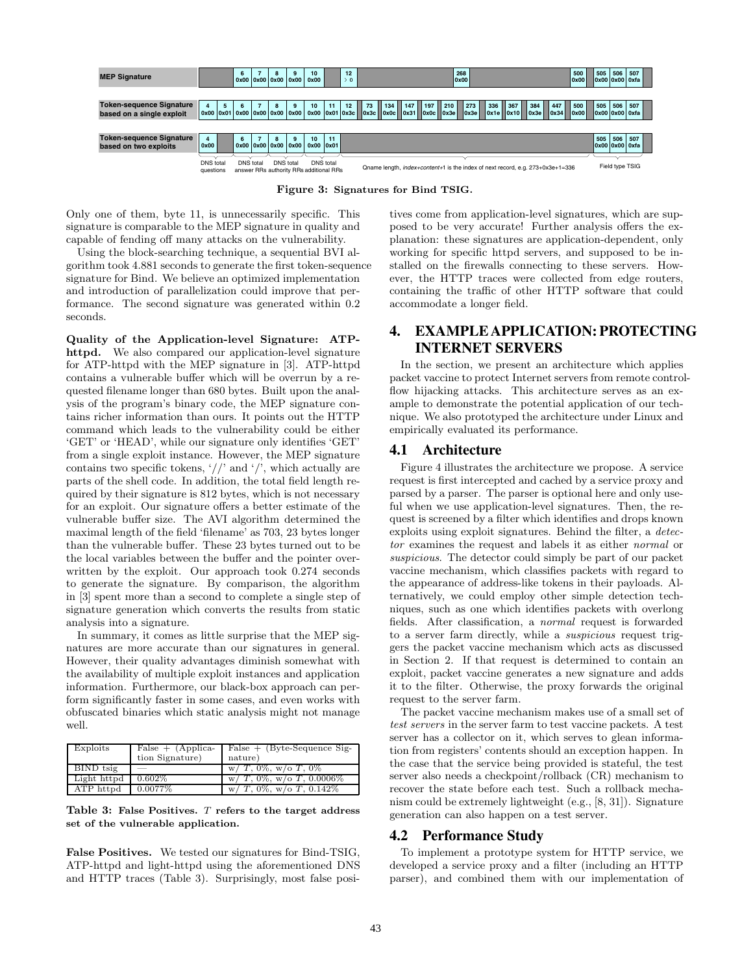

**Figure 3: Signatures for Bind TSIG.**

Only one of them, byte 11, is unnecessarily specific. This signature is comparable to the MEP signature in quality and capable of fending off many attacks on the vulnerability.

Using the block-searching technique, a sequential BVI algorithm took 4.881 seconds to generate the first token-sequence signature for Bind. We believe an optimized implementation and introduction of parallelization could improve that performance. The second signature was generated within 0.2 seconds.

**Quality of the Application-level Signature: ATPhttpd.** We also compared our application-level signature for ATP-httpd with the MEP signature in [3]. ATP-httpd contains a vulnerable buffer which will be overrun by a requested filename longer than 680 bytes. Built upon the analysis of the program's binary code, the MEP signature contains richer information than ours. It points out the HTTP command which leads to the vulnerability could be either 'GET' or 'HEAD', while our signature only identifies 'GET' from a single exploit instance. However, the MEP signature contains two specific tokens,  $\frac{\sqrt{7}}{2}$  and  $\frac{\sqrt{7}}{2}$ , which actually are parts of the shell code. In addition, the total field length required by their signature is 812 bytes, which is not necessary for an exploit. Our signature offers a better estimate of the vulnerable buffer size. The AVI algorithm determined the maximal length of the field 'filename' as 703, 23 bytes longer than the vulnerable buffer. These 23 bytes turned out to be the local variables between the buffer and the pointer overwritten by the exploit. Our approach took 0.274 seconds to generate the signature. By comparison, the algorithm in [3] spent more than a second to complete a single step of signature generation which converts the results from static analysis into a signature.

In summary, it comes as little surprise that the MEP signatures are more accurate than our signatures in general. However, their quality advantages diminish somewhat with the availability of multiple exploit instances and application information. Furthermore, our black-box approach can perform significantly faster in some cases, and even works with obfuscated binaries which static analysis might not manage well.

| Exploits                   | $False + (Applied-$<br>tion Signature) | $False + (Byte-Sequence Sig-$<br>nature) |
|----------------------------|----------------------------------------|------------------------------------------|
| BIND tsig                  |                                        | $w/T$ , 0%, $w$ /o T, 0%                 |
| Light httpd $0.602\%$      |                                        | $w/T$ , 0%, $w/\sigma$ T, 0.0006%        |
| ATP httpd $\vert$ 0.0077\% |                                        | w/ T, 0%, w/o T, $0.142\%$               |

**Table 3: False Positives.** *T* **refers to the target address set of the vulnerable application.**

**False Positives.** We tested our signatures for Bind-TSIG, ATP-httpd and light-httpd using the aforementioned DNS and HTTP traces (Table 3). Surprisingly, most false positives come from application-level signatures, which are supposed to be very accurate! Further analysis offers the explanation: these signatures are application-dependent, only working for specific httpd servers, and supposed to be installed on the firewalls connecting to these servers. However, the HTTP traces were collected from edge routers, containing the traffic of other HTTP software that could accommodate a longer field.

# **4. EXAMPLE APPLICATION: PROTECTING INTERNET SERVERS**

In the section, we present an architecture which applies packet vaccine to protect Internet servers from remote controlflow hijacking attacks. This architecture serves as an example to demonstrate the potential application of our technique. We also prototyped the architecture under Linux and empirically evaluated its performance.

# **4.1 Architecture**

Figure 4 illustrates the architecture we propose. A service request is first intercepted and cached by a service proxy and parsed by a parser. The parser is optional here and only useful when we use application-level signatures. Then, the request is screened by a filter which identifies and drops known exploits using exploit signatures. Behind the filter, a *detector* examines the request and labels it as either *normal* or *suspicious*. The detector could simply be part of our packet vaccine mechanism, which classifies packets with regard to the appearance of address-like tokens in their payloads. Alternatively, we could employ other simple detection techniques, such as one which identifies packets with overlong fields. After classification, a *normal* request is forwarded to a server farm directly, while a *suspicious* request triggers the packet vaccine mechanism which acts as discussed in Section 2. If that request is determined to contain an exploit, packet vaccine generates a new signature and adds it to the filter. Otherwise, the proxy forwards the original request to the server farm.

The packet vaccine mechanism makes use of a small set of *test servers* in the server farm to test vaccine packets. A test server has a collector on it, which serves to glean information from registers' contents should an exception happen. In the case that the service being provided is stateful, the test server also needs a checkpoint/rollback (CR) mechanism to recover the state before each test. Such a rollback mechanism could be extremely lightweight (e.g., [8, 31]). Signature generation can also happen on a test server.

# **4.2 Performance Study**

To implement a prototype system for HTTP service, we developed a service proxy and a filter (including an HTTP parser), and combined them with our implementation of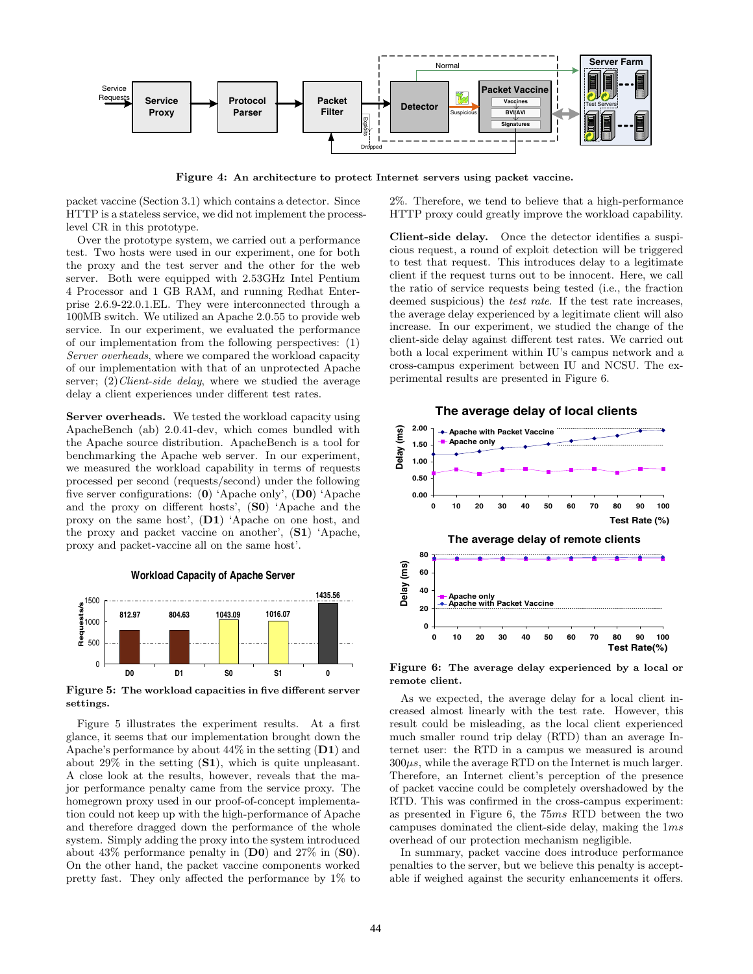

**Figure 4: An architecture to protect Internet servers using packet vaccine.**

packet vaccine (Section 3.1) which contains a detector. Since HTTP is a stateless service, we did not implement the processlevel CR in this prototype.

Over the prototype system, we carried out a performance test. Two hosts were used in our experiment, one for both the proxy and the test server and the other for the web server. Both were equipped with 2.53GHz Intel Pentium 4 Processor and 1 GB RAM, and running Redhat Enterprise 2.6.9-22.0.1.EL. They were interconnected through a 100MB switch. We utilized an Apache 2.0.55 to provide web service. In our experiment, we evaluated the performance of our implementation from the following perspectives: (1) *Server overheads*, where we compared the workload capacity of our implementation with that of an unprotected Apache server; (2)*Client-side delay*, where we studied the average delay a client experiences under different test rates.

**Server overheads.** We tested the workload capacity using ApacheBench (ab) 2.0.41-dev, which comes bundled with the Apache source distribution. ApacheBench is a tool for benchmarking the Apache web server. In our experiment, we measured the workload capability in terms of requests processed per second (requests/second) under the following five server configurations: (**0**) 'Apache only', (**D0**) 'Apache and the proxy on different hosts', (**S0**) 'Apache and the proxy on the same host', (**D1**) 'Apache on one host, and the proxy and packet vaccine on another', (**S1**) 'Apache, proxy and packet-vaccine all on the same host'.



**Figure 5: The workload capacities in five different server settings.**

Figure 5 illustrates the experiment results. At a first glance, it seems that our implementation brought down the Apache's performance by about 44% in the setting (**D1**) and about 29% in the setting (**S1**), which is quite unpleasant. A close look at the results, however, reveals that the major performance penalty came from the service proxy. The homegrown proxy used in our proof-of-concept implementation could not keep up with the high-performance of Apache and therefore dragged down the performance of the whole system. Simply adding the proxy into the system introduced about 43% performance penalty in (**D0**) and 27% in (**S0**). On the other hand, the packet vaccine components worked pretty fast. They only affected the performance by 1% to

2%. Therefore, we tend to believe that a high-performance HTTP proxy could greatly improve the workload capability.

**Client-side delay.** Once the detector identifies a suspicious request, a round of exploit detection will be triggered to test that request. This introduces delay to a legitimate client if the request turns out to be innocent. Here, we call the ratio of service requests being tested (i.e., the fraction deemed suspicious) the *test rate*. If the test rate increases, the average delay experienced by a legitimate client will also increase. In our experiment, we studied the change of the client-side delay against different test rates. We carried out both a local experiment within IU's campus network and a cross-campus experiment between IU and NCSU. The experimental results are presented in Figure 6.



**Figure 6: The average delay experienced by a local or remote client.**

As we expected, the average delay for a local client increased almost linearly with the test rate. However, this result could be misleading, as the local client experienced much smaller round trip delay (RTD) than an average Internet user: the RTD in a campus we measured is around  $300\mu s$ , while the average RTD on the Internet is much larger. Therefore, an Internet client's perception of the presence of packet vaccine could be completely overshadowed by the RTD. This was confirmed in the cross-campus experiment: as presented in Figure 6, the 75ms RTD between the two campuses dominated the client-side delay, making the 1ms overhead of our protection mechanism negligible.

In summary, packet vaccine does introduce performance penalties to the server, but we believe this penalty is acceptable if weighed against the security enhancements it offers.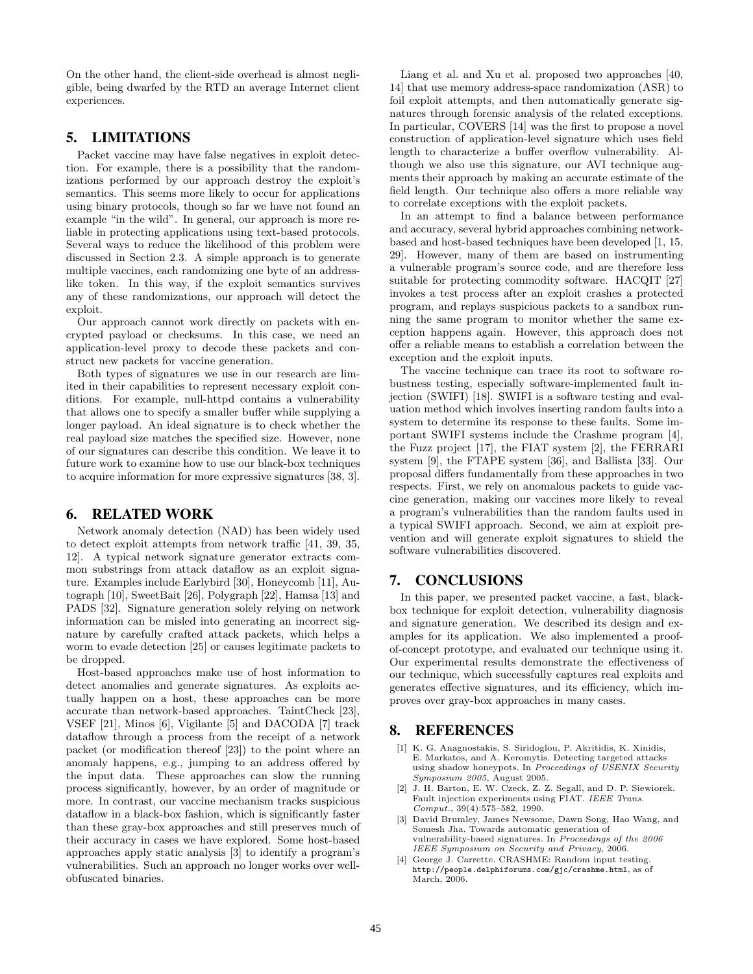On the other hand, the client-side overhead is almost negligible, being dwarfed by the RTD an average Internet client experiences.

## **5. LIMITATIONS**

Packet vaccine may have false negatives in exploit detection. For example, there is a possibility that the randomizations performed by our approach destroy the exploit's semantics. This seems more likely to occur for applications using binary protocols, though so far we have not found an example "in the wild". In general, our approach is more reliable in protecting applications using text-based protocols. Several ways to reduce the likelihood of this problem were discussed in Section 2.3. A simple approach is to generate multiple vaccines, each randomizing one byte of an addresslike token. In this way, if the exploit semantics survives any of these randomizations, our approach will detect the exploit.

Our approach cannot work directly on packets with encrypted payload or checksums. In this case, we need an application-level proxy to decode these packets and construct new packets for vaccine generation.

Both types of signatures we use in our research are limited in their capabilities to represent necessary exploit conditions. For example, null-httpd contains a vulnerability that allows one to specify a smaller buffer while supplying a longer payload. An ideal signature is to check whether the real payload size matches the specified size. However, none of our signatures can describe this condition. We leave it to future work to examine how to use our black-box techniques to acquire information for more expressive signatures [38, 3].

## **6. RELATED WORK**

Network anomaly detection (NAD) has been widely used to detect exploit attempts from network traffic [41, 39, 35, 12]. A typical network signature generator extracts common substrings from attack dataflow as an exploit signature. Examples include Earlybird [30], Honeycomb [11], Autograph [10], SweetBait [26], Polygraph [22], Hamsa [13] and PADS [32]. Signature generation solely relying on network information can be misled into generating an incorrect signature by carefully crafted attack packets, which helps a worm to evade detection [25] or causes legitimate packets to be dropped.

Host-based approaches make use of host information to detect anomalies and generate signatures. As exploits actually happen on a host, these approaches can be more accurate than network-based approaches. TaintCheck [23], VSEF [21], Minos [6], Vigilante [5] and DACODA [7] track dataflow through a process from the receipt of a network packet (or modification thereof [23]) to the point where an anomaly happens, e.g., jumping to an address offered by the input data. These approaches can slow the running process significantly, however, by an order of magnitude or more. In contrast, our vaccine mechanism tracks suspicious dataflow in a black-box fashion, which is significantly faster than these gray-box approaches and still preserves much of their accuracy in cases we have explored. Some host-based approaches apply static analysis [3] to identify a program's vulnerabilities. Such an approach no longer works over wellobfuscated binaries.

Liang et al. and Xu et al. proposed two approaches [40, 14] that use memory address-space randomization (ASR) to foil exploit attempts, and then automatically generate signatures through forensic analysis of the related exceptions. In particular, COVERS [14] was the first to propose a novel construction of application-level signature which uses field length to characterize a buffer overflow vulnerability. Although we also use this signature, our AVI technique augments their approach by making an accurate estimate of the field length. Our technique also offers a more reliable way to correlate exceptions with the exploit packets.

In an attempt to find a balance between performance and accuracy, several hybrid approaches combining networkbased and host-based techniques have been developed [1, 15, 29]. However, many of them are based on instrumenting a vulnerable program's source code, and are therefore less suitable for protecting commodity software. HACQIT [27] invokes a test process after an exploit crashes a protected program, and replays suspicious packets to a sandbox running the same program to monitor whether the same exception happens again. However, this approach does not offer a reliable means to establish a correlation between the exception and the exploit inputs.

The vaccine technique can trace its root to software robustness testing, especially software-implemented fault injection (SWIFI) [18]. SWIFI is a software testing and evaluation method which involves inserting random faults into a system to determine its response to these faults. Some important SWIFI systems include the Crashme program [4], the Fuzz project [17], the FIAT system [2], the FERRARI system [9], the FTAPE system [36], and Ballista [33]. Our proposal differs fundamentally from these approaches in two respects. First, we rely on anomalous packets to guide vaccine generation, making our vaccines more likely to reveal a program's vulnerabilities than the random faults used in a typical SWIFI approach. Second, we aim at exploit prevention and will generate exploit signatures to shield the software vulnerabilities discovered.

# **7. CONCLUSIONS**

In this paper, we presented packet vaccine, a fast, blackbox technique for exploit detection, vulnerability diagnosis and signature generation. We described its design and examples for its application. We also implemented a proofof-concept prototype, and evaluated our technique using it. Our experimental results demonstrate the effectiveness of our technique, which successfully captures real exploits and generates effective signatures, and its efficiency, which improves over gray-box approaches in many cases.

# **8. REFERENCES**

- [1] K. G. Anagnostakis, S. Siridoglou, P. Akritidis, K. Xinidis, E. Markatos, and A. Keromytis. Detecting targeted attacks using shadow honeypots. In *Proceedings of USENIX Security Symposium 2005*, August 2005.
- [2] J. H. Barton, E. W. Czeck, Z. Z. Segall, and D. P. Siewiorek. Fault injection experiments using FIAT. *IEEE Trans. Comput.*, 39(4):575–582, 1990.
- [3] David Brumley, James Newsome, Dawn Song, Hao Wang, and Somesh Jha. Towards automatic generation of vulnerability-based signatures. In *Proceedings of the 2006 IEEE Symposium on Security and Privacy*, 2006.
- George J. Carrette. CRASHME: Random input testing. http://people.delphiforums.com/gjc/crashme.html, as of March, 2006.